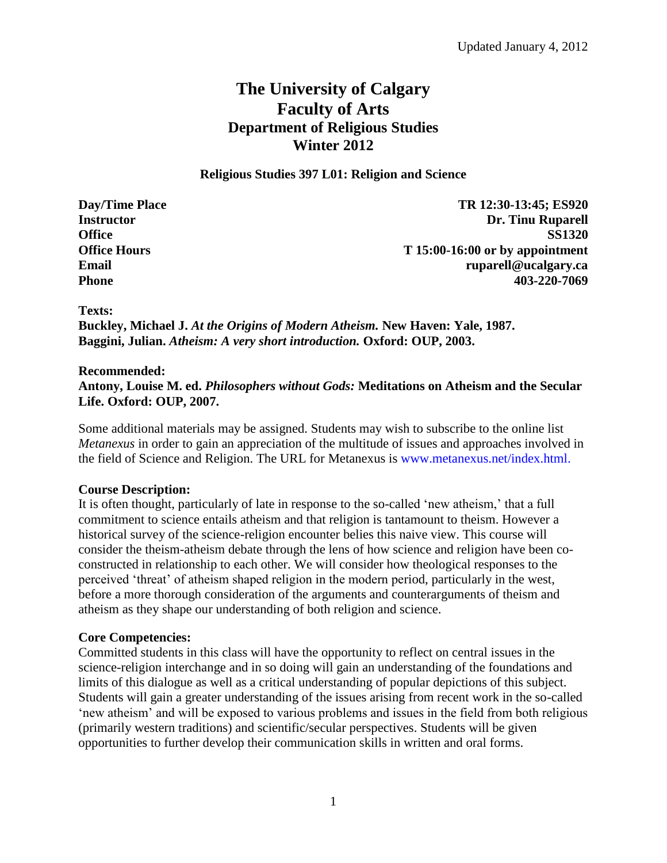# **The University of Calgary Faculty of Arts Department of Religious Studies Winter 2012**

# **Religious Studies 397 L01: Religion and Science**

**Day/Time Place TR 12:30-13:45; ES920 Instructor** Dr. Tinu Ruparell **Office SS1320 Office Hours** T 15:00-16:00 or by appointment **Email ruparell@ucalgary.ca Phone 403-220-7069**

### **Texts:**

**Buckley, Michael J.** *At the Origins of Modern Atheism.* **New Haven: Yale, 1987. Baggini, Julian.** *Atheism: A very short introduction.* **Oxford: OUP, 2003.**

### **Recommended: Antony, Louise M. ed.** *Philosophers without Gods:* **Meditations on Atheism and the Secular Life. Oxford: OUP, 2007.**

Some additional materials may be assigned. Students may wish to subscribe to the online list *Metanexus* in order to gain an appreciation of the multitude of issues and approaches involved in the field of Science and Religion. The URL for Metanexus is www.metanexus.net/index.html.

### **Course Description:**

It is often thought, particularly of late in response to the so-called 'new atheism,' that a full commitment to science entails atheism and that religion is tantamount to theism. However a historical survey of the science-religion encounter belies this naive view. This course will consider the theism-atheism debate through the lens of how science and religion have been coconstructed in relationship to each other. We will consider how theological responses to the perceived 'threat' of atheism shaped religion in the modern period, particularly in the west, before a more thorough consideration of the arguments and counterarguments of theism and atheism as they shape our understanding of both religion and science.

### **Core Competencies:**

Committed students in this class will have the opportunity to reflect on central issues in the science-religion interchange and in so doing will gain an understanding of the foundations and limits of this dialogue as well as a critical understanding of popular depictions of this subject. Students will gain a greater understanding of the issues arising from recent work in the so-called 'new atheism' and will be exposed to various problems and issues in the field from both religious (primarily western traditions) and scientific/secular perspectives. Students will be given opportunities to further develop their communication skills in written and oral forms.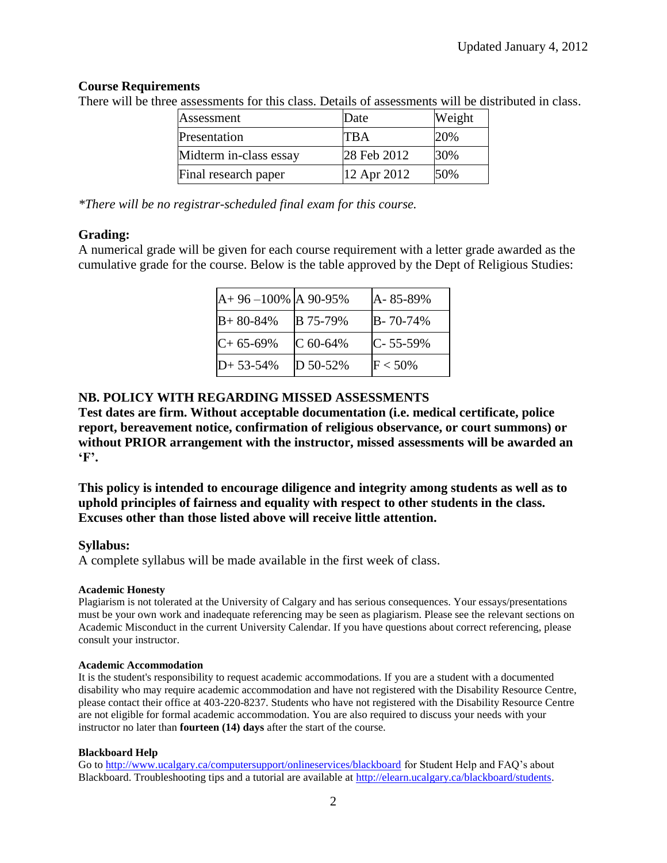# **Course Requirements**

There will be three assessments for this class. Details of assessments will be distributed in class.

| Assessment             | Date        | Weight |
|------------------------|-------------|--------|
| Presentation           | <b>TBA</b>  | 20%    |
| Midterm in-class essay | 28 Feb 2012 | 30%    |
| Final research paper   | 12 Apr 2012 | 50%    |

*\*There will be no registrar-scheduled final exam for this course.*

## **Grading:**

A numerical grade will be given for each course requirement with a letter grade awarded as the cumulative grade for the course. Below is the table approved by the Dept of Religious Studies:

| $A+96-100\%$ A 90-95% |            | A-85-89%       |
|-----------------------|------------|----------------|
| $B+80-84%$            | B 75-79%   | $B - 70 - 74%$ |
| $C+65-69%$            | $C$ 60-64% | $C - 55 - 59%$ |
| $D+53-54%$            | D 50-52%   | $F < 50\%$     |

# **NB. POLICY WITH REGARDING MISSED ASSESSMENTS**

**Test dates are firm. Without acceptable documentation (i.e. medical certificate, police report, bereavement notice, confirmation of religious observance, or court summons) or without PRIOR arrangement with the instructor, missed assessments will be awarded an 'F'.** 

**This policy is intended to encourage diligence and integrity among students as well as to uphold principles of fairness and equality with respect to other students in the class. Excuses other than those listed above will receive little attention.** 

# **Syllabus:**

A complete syllabus will be made available in the first week of class.

### **Academic Honesty**

Plagiarism is not tolerated at the University of Calgary and has serious consequences. Your essays/presentations must be your own work and inadequate referencing may be seen as plagiarism. Please see the relevant sections on Academic Misconduct in the current University Calendar. If you have questions about correct referencing, please consult your instructor.

### **Academic Accommodation**

It is the student's responsibility to request academic accommodations. If you are a student with a documented disability who may require academic accommodation and have not registered with the Disability Resource Centre, please contact their office at 403-220-8237. Students who have not registered with the Disability Resource Centre are not eligible for formal academic accommodation. You are also required to discuss your needs with your instructor no later than **fourteen (14) days** after the start of the course.

### **Blackboard Help**

Go to<http://www.ucalgary.ca/computersupport/onlineservices/blackboard> for Student Help and FAQ's about Blackboard. Troubleshooting tips and a tutorial are available at [http://elearn.ucalgary.ca/blackboard/students.](http://elearn.ucalgary.ca/blackboard/students)